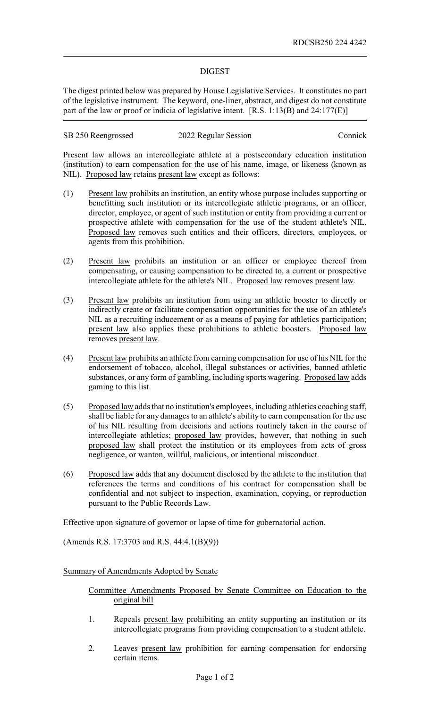## DIGEST

The digest printed below was prepared by House Legislative Services. It constitutes no part of the legislative instrument. The keyword, one-liner, abstract, and digest do not constitute part of the law or proof or indicia of legislative intent. [R.S. 1:13(B) and 24:177(E)]

| SB 250 Reengrossed | 2022 Regular Session | Connick |
|--------------------|----------------------|---------|
|--------------------|----------------------|---------|

Present law allows an intercollegiate athlete at a postsecondary education institution (institution) to earn compensation for the use of his name, image, or likeness (known as NIL). Proposed law retains present law except as follows:

- (1) Present law prohibits an institution, an entity whose purpose includes supporting or benefitting such institution or its intercollegiate athletic programs, or an officer, director, employee, or agent of such institution or entity from providing a current or prospective athlete with compensation for the use of the student athlete's NIL. Proposed law removes such entities and their officers, directors, employees, or agents from this prohibition.
- (2) Present law prohibits an institution or an officer or employee thereof from compensating, or causing compensation to be directed to, a current or prospective intercollegiate athlete for the athlete's NIL. Proposed law removes present law.
- (3) Present law prohibits an institution from using an athletic booster to directly or indirectly create or facilitate compensation opportunities for the use of an athlete's NIL as a recruiting inducement or as a means of paying for athletics participation; present law also applies these prohibitions to athletic boosters. Proposed law removes present law.
- (4) Present law prohibits an athlete from earning compensation for use of his NIL for the endorsement of tobacco, alcohol, illegal substances or activities, banned athletic substances, or any form of gambling, including sports wagering. Proposed law adds gaming to this list.
- (5) Proposed law adds that no institution's employees, including athletics coaching staff, shall be liable for any damages to an athlete's ability to earn compensation for the use of his NIL resulting from decisions and actions routinely taken in the course of intercollegiate athletics; proposed law provides, however, that nothing in such proposed law shall protect the institution or its employees from acts of gross negligence, or wanton, willful, malicious, or intentional misconduct.
- (6) Proposed law adds that any document disclosed by the athlete to the institution that references the terms and conditions of his contract for compensation shall be confidential and not subject to inspection, examination, copying, or reproduction pursuant to the Public Records Law.

Effective upon signature of governor or lapse of time for gubernatorial action.

(Amends R.S. 17:3703 and R.S. 44:4.1(B)(9))

Summary of Amendments Adopted by Senate

- Committee Amendments Proposed by Senate Committee on Education to the original bill
- 1. Repeals present law prohibiting an entity supporting an institution or its intercollegiate programs from providing compensation to a student athlete.
- 2. Leaves present law prohibition for earning compensation for endorsing certain items.